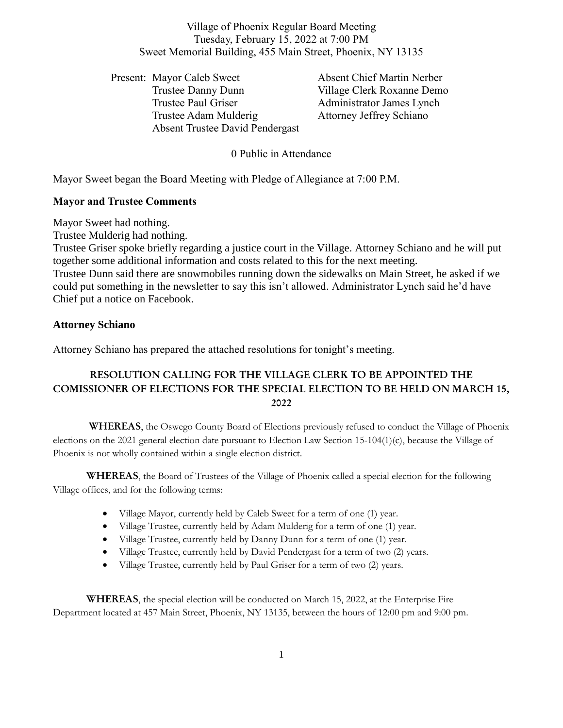Village of Phoenix Regular Board Meeting Tuesday, February 15, 2022 at 7:00 PM Sweet Memorial Building, 455 Main Street, Phoenix, NY 13135

Present: Mayor Caleb Sweet Absent Chief Martin Nerber Trustee Danny Dunn Village Clerk Roxanne Demo Trustee Paul Griser **Administrator James Lynch** Trustee Adam Mulderig Attorney Jeffrey Schiano Absent Trustee David Pendergast

#### 0 Public in Attendance

Mayor Sweet began the Board Meeting with Pledge of Allegiance at 7:00 P.M.

#### **Mayor and Trustee Comments**

Mayor Sweet had nothing.

Trustee Mulderig had nothing.

Trustee Griser spoke briefly regarding a justice court in the Village. Attorney Schiano and he will put together some additional information and costs related to this for the next meeting. Trustee Dunn said there are snowmobiles running down the sidewalks on Main Street, he asked if we could put something in the newsletter to say this isn't allowed. Administrator Lynch said he'd have Chief put a notice on Facebook.

#### **Attorney Schiano**

Attorney Schiano has prepared the attached resolutions for tonight's meeting.

# **RESOLUTION CALLING FOR THE VILLAGE CLERK TO BE APPOINTED THE COMISSIONER OF ELECTIONS FOR THE SPECIAL ELECTION TO BE HELD ON MARCH 15, 2022**

**WHEREAS**, the Oswego County Board of Elections previously refused to conduct the Village of Phoenix elections on the 2021 general election date pursuant to Election Law Section 15-104(1)(c), because the Village of Phoenix is not wholly contained within a single election district.

**WHEREAS**, the Board of Trustees of the Village of Phoenix called a special election for the following Village offices, and for the following terms:

- Village Mayor, currently held by Caleb Sweet for a term of one (1) year.
- Village Trustee, currently held by Adam Mulderig for a term of one (1) year.
- Village Trustee, currently held by Danny Dunn for a term of one (1) year.
- Village Trustee, currently held by David Pendergast for a term of two (2) years.
- Village Trustee, currently held by Paul Griser for a term of two (2) years.

**WHEREAS**, the special election will be conducted on March 15, 2022, at the Enterprise Fire Department located at 457 Main Street, Phoenix, NY 13135, between the hours of 12:00 pm and 9:00 pm.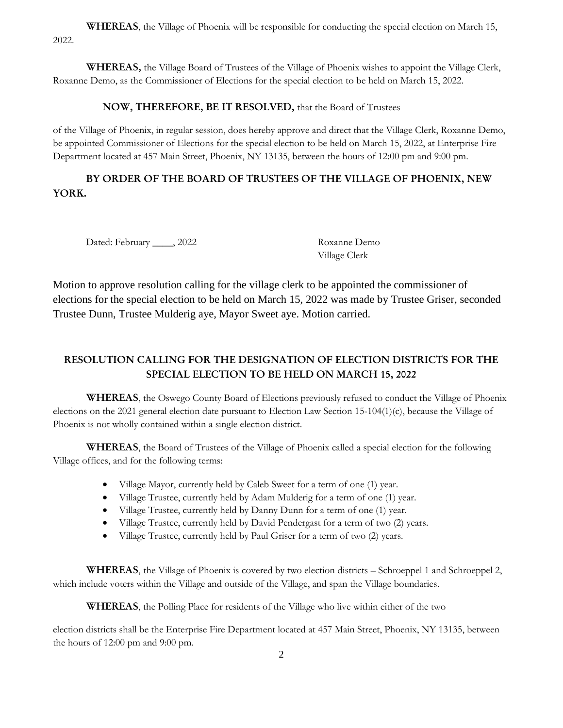**WHEREAS**, the Village of Phoenix will be responsible for conducting the special election on March 15, 2022.

**WHEREAS,** the Village Board of Trustees of the Village of Phoenix wishes to appoint the Village Clerk, Roxanne Demo, as the Commissioner of Elections for the special election to be held on March 15, 2022.

#### **NOW, THEREFORE, BE IT RESOLVED,** that the Board of Trustees

of the Village of Phoenix, in regular session, does hereby approve and direct that the Village Clerk, Roxanne Demo, be appointed Commissioner of Elections for the special election to be held on March 15, 2022, at Enterprise Fire Department located at 457 Main Street, Phoenix, NY 13135, between the hours of 12:00 pm and 9:00 pm.

# **BY ORDER OF THE BOARD OF TRUSTEES OF THE VILLAGE OF PHOENIX, NEW YORK.**

Dated: February \_\_\_\_, 2022 Roxanne Demo

Village Clerk

Motion to approve resolution calling for the village clerk to be appointed the commissioner of elections for the special election to be held on March 15, 2022 was made by Trustee Griser, seconded Trustee Dunn, Trustee Mulderig aye, Mayor Sweet aye. Motion carried.

# **RESOLUTION CALLING FOR THE DESIGNATION OF ELECTION DISTRICTS FOR THE SPECIAL ELECTION TO BE HELD ON MARCH 15, 2022**

**WHEREAS**, the Oswego County Board of Elections previously refused to conduct the Village of Phoenix elections on the 2021 general election date pursuant to Election Law Section 15-104(1)(c), because the Village of Phoenix is not wholly contained within a single election district.

**WHEREAS**, the Board of Trustees of the Village of Phoenix called a special election for the following Village offices, and for the following terms:

- Village Mayor, currently held by Caleb Sweet for a term of one (1) year.
- Village Trustee, currently held by Adam Mulderig for a term of one (1) year.
- Village Trustee, currently held by Danny Dunn for a term of one (1) year.
- Village Trustee, currently held by David Pendergast for a term of two (2) years.
- Village Trustee, currently held by Paul Griser for a term of two (2) years.

**WHEREAS**, the Village of Phoenix is covered by two election districts – Schroeppel 1 and Schroeppel 2, which include voters within the Village and outside of the Village, and span the Village boundaries.

**WHEREAS**, the Polling Place for residents of the Village who live within either of the two

election districts shall be the Enterprise Fire Department located at 457 Main Street, Phoenix, NY 13135, between the hours of 12:00 pm and 9:00 pm.